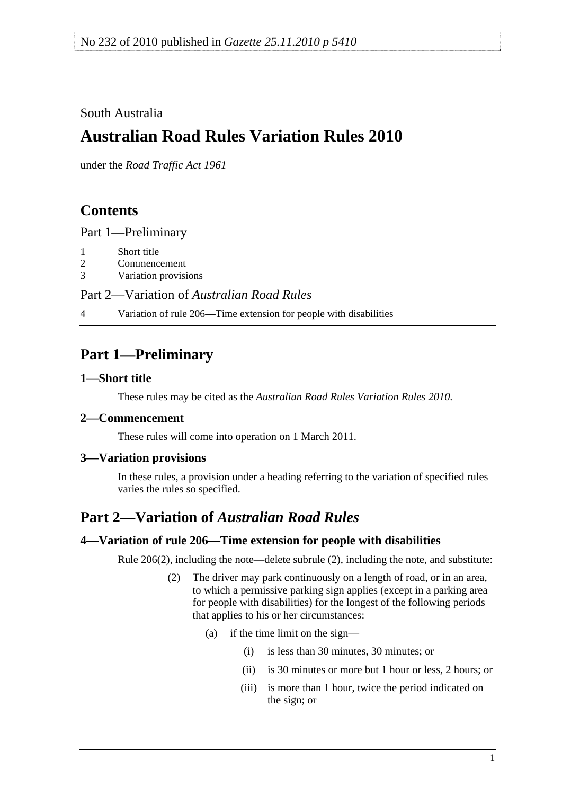### <span id="page-0-0"></span>South Australia

# **Australian Road Rules Variation Rules 2010**

under the *Road Traffic Act 1961*

## **Contents**

[Part 1—Preliminary](#page-0-0)

- [1 Short title](#page-0-0)
- [2 Commencement](#page-0-0)
- [3 Variation provisions](#page-0-0)

Part 2—Variation of *[Australian Road Rules](#page-0-0)*

[4 Variation of rule 206—Time extension for people with disabilities](#page-0-0) 

# **Part 1—Preliminary**

#### **1—Short title**

These rules may be cited as the *[Australian Road Rules Variation Rules 2010](http://www.legislation.sa.gov.au/index.aspx?action=legref&type=subordleg&legtitle=Australian%20Road%20Rules%20Variation%20Rules%202010)*.

### **2—Commencement**

These rules will come into operation on 1 March 2011.

### **3—Variation provisions**

In these rules, a provision under a heading referring to the variation of specified rules varies the rules so specified.

## **Part 2—Variation of** *Australian Road Rules*

#### **4—Variation of rule 206—Time extension for people with disabilities**

Rule 206(2), including the note—delete subrule (2), including the note, and substitute:

- (2) The driver may park continuously on a length of road, or in an area, to which a permissive parking sign applies (except in a parking area for people with disabilities) for the longest of the following periods that applies to his or her circumstances:
	- (a) if the time limit on the sign—
		- (i) is less than 30 minutes, 30 minutes; or
		- (ii) is 30 minutes or more but 1 hour or less, 2 hours; or
		- (iii) is more than 1 hour, twice the period indicated on the sign; or